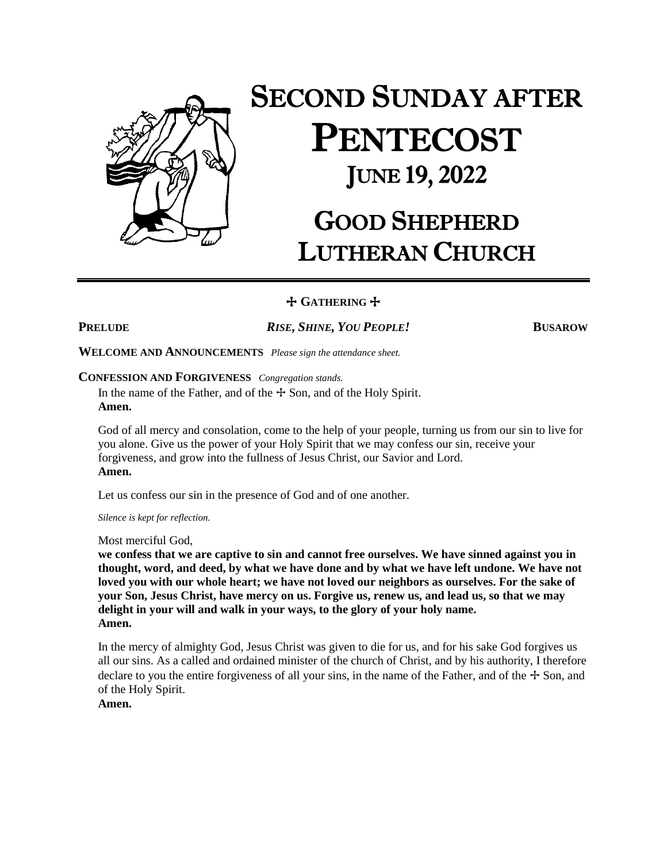

# SECOND SUNDAY AFTER PENTECOST JUNE 19, 2022

# GOOD SHEPHERD LUTHERAN CHURCH

+ **GATHERING** +

**PRELUDE** *RISE, SHINE, YOU PEOPLE!* **BUSAROW**

**WELCOME AND ANNOUNCEMENTS** *Please sign the attendance sheet.*

#### **CONFESSION AND FORGIVENESS** *Congregation stands.*

In the name of the Father, and of the  $\pm$  Son, and of the Holy Spirit. **Amen.**

God of all mercy and consolation, come to the help of your people, turning us from our sin to live for you alone. Give us the power of your Holy Spirit that we may confess our sin, receive your forgiveness, and grow into the fullness of Jesus Christ, our Savior and Lord. **Amen.**

Let us confess our sin in the presence of God and of one another.

*Silence is kept for reflection.*

Most merciful God,

**we confess that we are captive to sin and cannot free ourselves. We have sinned against you in thought, word, and deed, by what we have done and by what we have left undone. We have not loved you with our whole heart; we have not loved our neighbors as ourselves. For the sake of your Son, Jesus Christ, have mercy on us. Forgive us, renew us, and lead us, so that we may delight in your will and walk in your ways, to the glory of your holy name. Amen.**

In the mercy of almighty God, Jesus Christ was given to die for us, and for his sake God forgives us all our sins. As a called and ordained minister of the church of Christ, and by his authority, I therefore declare to you the entire forgiveness of all your sins, in the name of the Father, and of the  $+$  Son, and of the Holy Spirit.

**Amen.**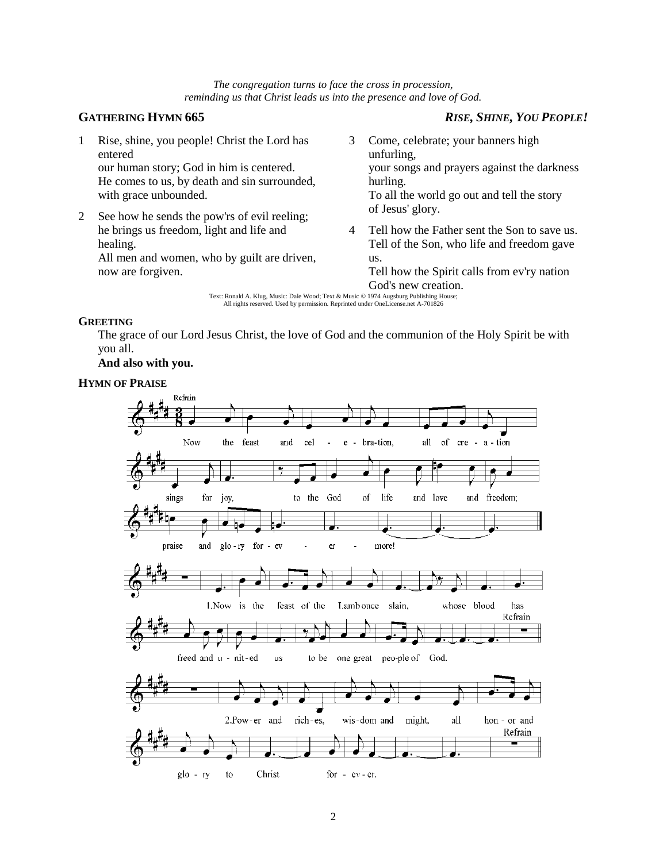*The congregation turns to face the cross in procession, reminding us that Christ leads us into the presence and love of God.*

### **GATHERING HYMN 665** *RISE, SHINE, YOU PEOPLE!*

- 1 Rise, shine, you people! Christ the Lord has entered our human story; God in him is centered. He comes to us, by death and sin surrounded, with grace unbounded.
- 2 See how he sends the pow'rs of evil reeling; he brings us freedom, light and life and healing. All men and women, who by guilt are driven,

now are forgiven.

- 3 Come, celebrate; your banners high unfurling, your songs and prayers against the darkness hurling. To all the world go out and tell the story of Jesus' glory.
- 4 Tell how the Father sent the Son to save us. Tell of the Son, who life and freedom gave us.

Tell how the Spirit calls from ev'ry nation God's new creation.

Text: Ronald A. Klug, Music: Dale Wood; Text & Music © 1974 Augsburg Publishing House; All rights reserved. Used by permission. Reprinted under OneLicense.net A-701826

#### **GREETING**

The grace of our Lord Jesus Christ, the love of God and the communion of the Holy Spirit be with you all.

**And also with you.**

#### **HYMN OF PRAISE**

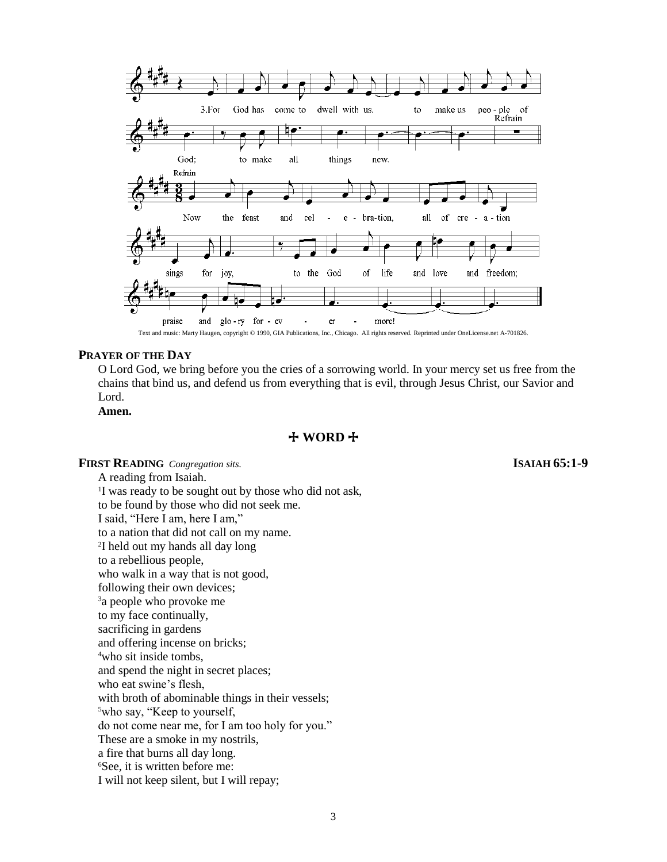

#### **PRAYER OF THE DAY**

O Lord God, we bring before you the cries of a sorrowing world. In your mercy set us free from the chains that bind us, and defend us from everything that is evil, through Jesus Christ, our Savior and Lord.

**Amen.**

#### + **WORD** +

#### **FIRST READING** *Congregation sits.* **ISAIAH 65:1-9**

A reading from Isaiah. <sup>1</sup>I was ready to be sought out by those who did not ask, to be found by those who did not seek me. I said, "Here I am, here I am," to a nation that did not call on my name. 2 I held out my hands all day long to a rebellious people, who walk in a way that is not good, following their own devices; <sup>3</sup>a people who provoke me to my face continually, sacrificing in gardens and offering incense on bricks; <sup>4</sup>who sit inside tombs, and spend the night in secret places; who eat swine's flesh, with broth of abominable things in their vessels; <sup>5</sup>who say, "Keep to yourself, do not come near me, for I am too holy for you." These are a smoke in my nostrils, a fire that burns all day long. <sup>6</sup>See, it is written before me: I will not keep silent, but I will repay;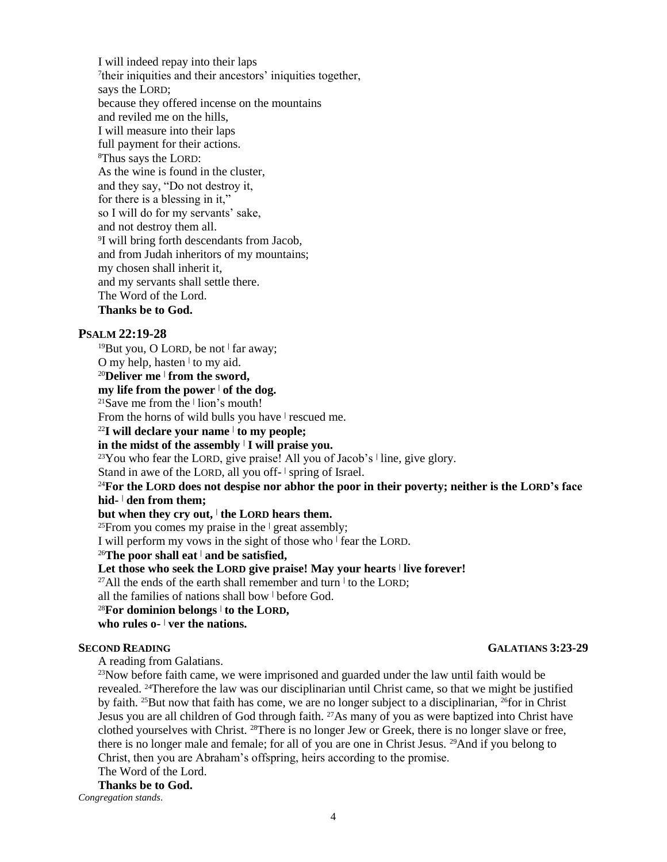I will indeed repay into their laps 7 their iniquities and their ancestors' iniquities together, says the LORD; because they offered incense on the mountains and reviled me on the hills, I will measure into their laps full payment for their actions. <sup>8</sup>Thus says the LORD: As the wine is found in the cluster, and they say, "Do not destroy it, for there is a blessing in it," so I will do for my servants' sake, and not destroy them all. 9 I will bring forth descendants from Jacob, and from Judah inheritors of my mountains; my chosen shall inherit it, and my servants shall settle there. The Word of the Lord. **Thanks be to God.**

#### **PSALM 22:19-28**

<sup>19</sup>But you, O LORD, be not **<sup>|</sup>** far away;

O my help, hasten **<sup>|</sup>** to my aid.

#### <sup>20</sup>**Deliver me <sup>|</sup> from the sword,**

#### **my life from the power <sup>|</sup> of the dog.**

<sup>21</sup>Save me from the **<sup>|</sup>** lion's mouth!

From the horns of wild bulls you have **<sup>|</sup>** rescued me.

#### <sup>22</sup>**I will declare your name <sup>|</sup> to my people;**

#### **in the midst of the assembly <sup>|</sup> I will praise you.**

<sup>23</sup>You who fear the LORD, give praise! All you of Jacob's **<sup>|</sup>** line, give glory.

Stand in awe of the LORD, all you off- | spring of Israel.

#### <sup>24</sup>**For the LORD does not despise nor abhor the poor in their poverty; neither is the LORD's face hid- <sup>|</sup> den from them;**

#### **but when they cry out, <sup>|</sup> the LORD hears them.**

<sup>25</sup>From you comes my praise in the **<sup>|</sup>** great assembly;

I will perform my vows in the sight of those who **<sup>|</sup>** fear the LORD.

<sup>26</sup>**The poor shall eat <sup>|</sup> and be satisfied,**

**Let those who seek the LORD give praise! May your hearts <sup>|</sup> live forever!**

<sup>27</sup>All the ends of the earth shall remember and turn **<sup>|</sup>** to the LORD;

all the families of nations shall bow **<sup>|</sup>** before God.

#### <sup>28</sup>**For dominion belongs <sup>|</sup> to the LORD,**

**who rules o- <sup>|</sup> ver the nations.**

A reading from Galatians.

<sup>23</sup>Now before faith came, we were imprisoned and guarded under the law until faith would be revealed. 24Therefore the law was our disciplinarian until Christ came, so that we might be justified by faith. <sup>25</sup>But now that faith has come, we are no longer subject to a disciplinarian, <sup>26</sup>for in Christ Jesus you are all children of God through faith. 27As many of you as were baptized into Christ have clothed yourselves with Christ. <sup>28</sup>There is no longer Jew or Greek, there is no longer slave or free, there is no longer male and female; for all of you are one in Christ Jesus. 29And if you belong to Christ, then you are Abraham's offspring, heirs according to the promise. The Word of the Lord.

**Thanks be to God.**

*Congregation stands*.

#### **SECOND READING GALATIANS 3:23-29**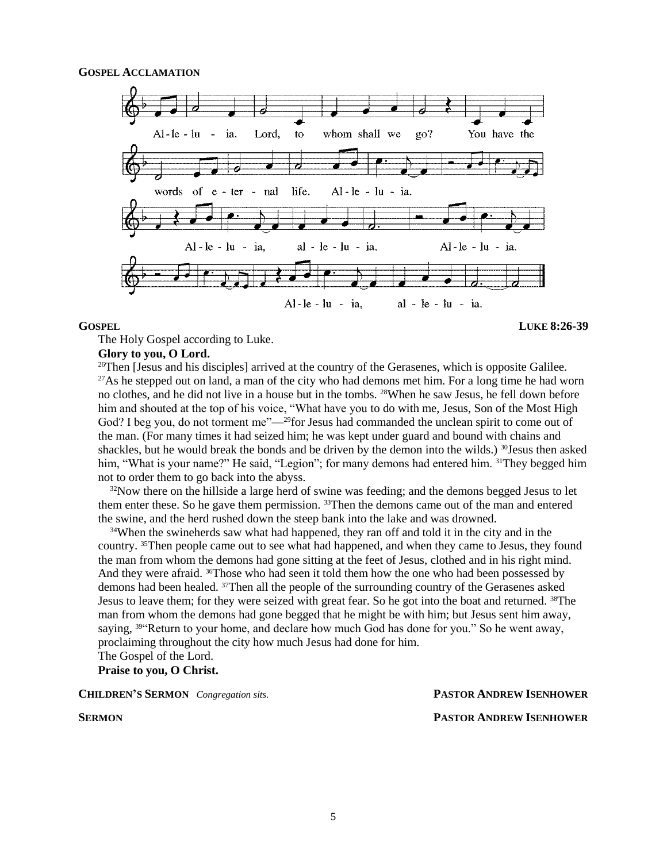

#### **GOSPEL LUKE 8:26-39**

The Holy Gospel according to Luke.

#### **Glory to you, O Lord.**

<sup>26</sup>Then [Jesus and his disciples] arrived at the country of the Gerasenes, which is opposite Galilee. <sup>27</sup>As he stepped out on land, a man of the city who had demons met him. For a long time he had worn no clothes, and he did not live in a house but in the tombs. 28When he saw Jesus, he fell down before him and shouted at the top of his voice, "What have you to do with me, Jesus, Son of the Most High God? I beg you, do not torment me"—<sup>29</sup>for Jesus had commanded the unclean spirit to come out of the man. (For many times it had seized him; he was kept under guard and bound with chains and shackles, but he would break the bonds and be driven by the demon into the wilds.) <sup>30</sup>Jesus then asked him, "What is your name?" He said, "Legion"; for many demons had entered him. <sup>31</sup>They begged him not to order them to go back into the abyss.

 $32$ Now there on the hillside a large herd of swine was feeding; and the demons begged Jesus to let them enter these. So he gave them permission. 33Then the demons came out of the man and entered the swine, and the herd rushed down the steep bank into the lake and was drowned.

<sup>34</sup>When the swineherds saw what had happened, they ran off and told it in the city and in the country. 35Then people came out to see what had happened, and when they came to Jesus, they found the man from whom the demons had gone sitting at the feet of Jesus, clothed and in his right mind. And they were afraid. <sup>36</sup>Those who had seen it told them how the one who had been possessed by demons had been healed. 37Then all the people of the surrounding country of the Gerasenes asked Jesus to leave them; for they were seized with great fear. So he got into the boat and returned. 38The man from whom the demons had gone begged that he might be with him; but Jesus sent him away, saying, <sup>39</sup> Return to your home, and declare how much God has done for you." So he went away, proclaiming throughout the city how much Jesus had done for him.

The Gospel of the Lord.

**Praise to you, O Christ.**

**CHILDREN'S SERMON** Congregation sits. **PASTOR ANDREW ISENHOWER** 

**SERMON PASTOR ANDREW ISENHOWER**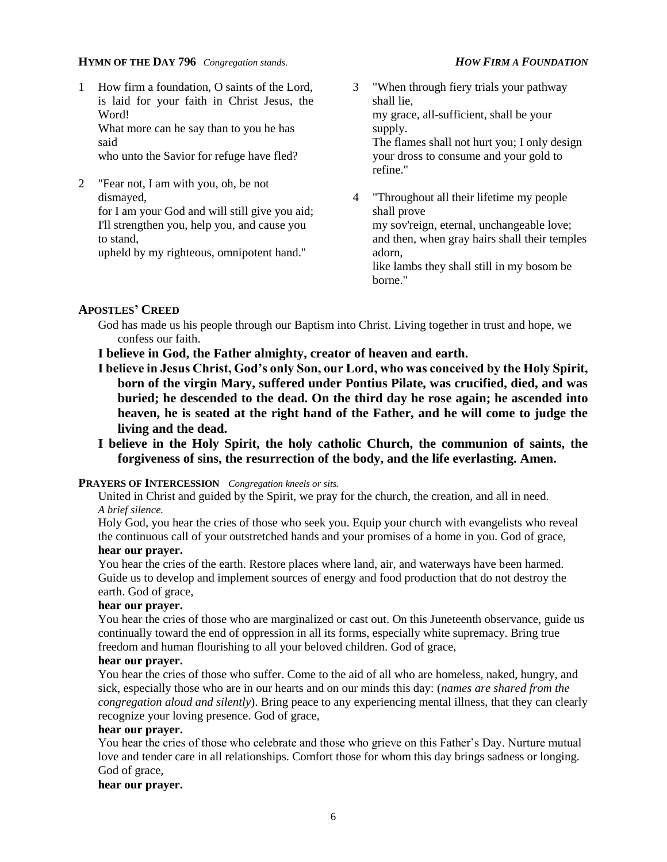#### **HYMN OF THE DAY 796** *Congregation stands. HOW FIRM A FOUNDATION*

1 How firm a foundation, O saints of the Lord, is laid for your faith in Christ Jesus, the Word! What more can he say than to you he has said

who unto the Savior for refuge have fled?

2 "Fear not, I am with you, oh, be not dismayed, for I am your God and will still give you aid;

I'll strengthen you, help you, and cause you to stand,

upheld by my righteous, omnipotent hand."

- 3 "When through fiery trials your pathway shall lie, my grace, all-sufficient, shall be your supply. The flames shall not hurt you; I only design your dross to consume and your gold to refine."
- 4 "Throughout all their lifetime my people shall prove my sov'reign, eternal, unchangeable love; and then, when gray hairs shall their temples adorn, like lambs they shall still in my bosom be borne."

### **APOSTLES' CREED**

God has made us his people through our Baptism into Christ. Living together in trust and hope, we confess our faith.

**I believe in God, the Father almighty, creator of heaven and earth.**

- **I believe in Jesus Christ, God's only Son, our Lord, who was conceived by the Holy Spirit, born of the virgin Mary, suffered under Pontius Pilate, was crucified, died, and was buried; he descended to the dead. On the third day he rose again; he ascended into heaven, he is seated at the right hand of the Father, and he will come to judge the living and the dead.**
- **I believe in the Holy Spirit, the holy catholic Church, the communion of saints, the forgiveness of sins, the resurrection of the body, and the life everlasting. Amen.**

#### **PRAYERS OF INTERCESSION** *Congregation kneels or sits.*

United in Christ and guided by the Spirit, we pray for the church, the creation, and all in need. *A brief silence.*

Holy God, you hear the cries of those who seek you. Equip your church with evangelists who reveal the continuous call of your outstretched hands and your promises of a home in you. God of grace, **hear our prayer.**

You hear the cries of the earth. Restore places where land, air, and waterways have been harmed. Guide us to develop and implement sources of energy and food production that do not destroy the earth. God of grace,

### **hear our prayer.**

You hear the cries of those who are marginalized or cast out. On this Juneteenth observance, guide us continually toward the end of oppression in all its forms, especially white supremacy. Bring true freedom and human flourishing to all your beloved children. God of grace,

#### **hear our prayer.**

You hear the cries of those who suffer. Come to the aid of all who are homeless, naked, hungry, and sick, especially those who are in our hearts and on our minds this day: (*names are shared from the congregation aloud and silently*). Bring peace to any experiencing mental illness, that they can clearly recognize your loving presence. God of grace,

#### **hear our prayer.**

You hear the cries of those who celebrate and those who grieve on this Father's Day. Nurture mutual love and tender care in all relationships. Comfort those for whom this day brings sadness or longing. God of grace,

### **hear our prayer.**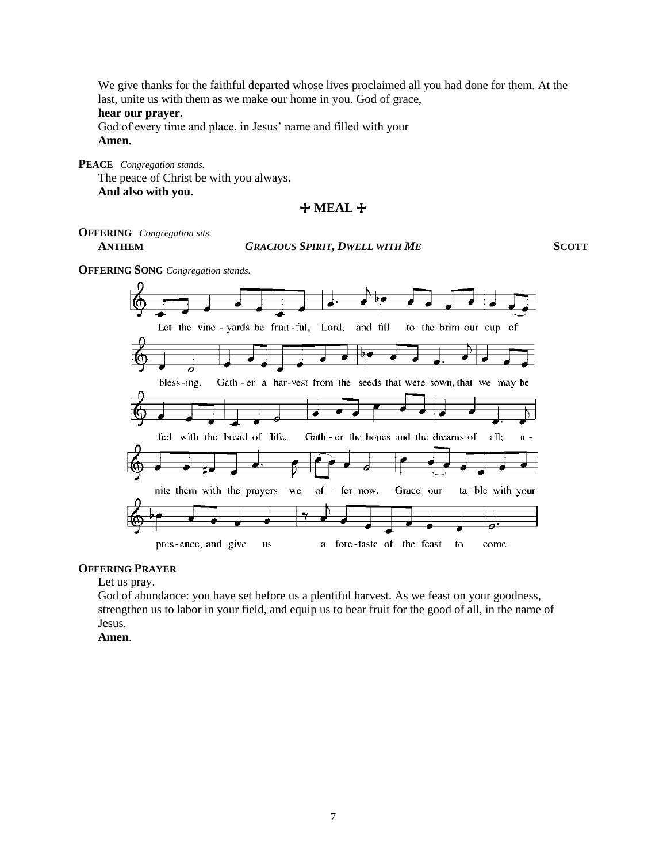We give thanks for the faithful departed whose lives proclaimed all you had done for them. At the last, unite us with them as we make our home in you. God of grace,

#### **hear our prayer.**

God of every time and place, in Jesus' name and filled with your **Amen.**

**PEACE** *Congregation stands.* The peace of Christ be with you always. **And also with you.**

### + **MEAL** +

**OFFERING** *Congregation sits.*

#### **ANTHEM** *GRACIOUS SPIRIT, DWELL WITH ME* **SCOTT**

**OFFERING SONG** *Congregation stands.*



#### **OFFERING PRAYER**

Let us pray.

God of abundance: you have set before us a plentiful harvest. As we feast on your goodness, strengthen us to labor in your field, and equip us to bear fruit for the good of all, in the name of Jesus.

**Amen**.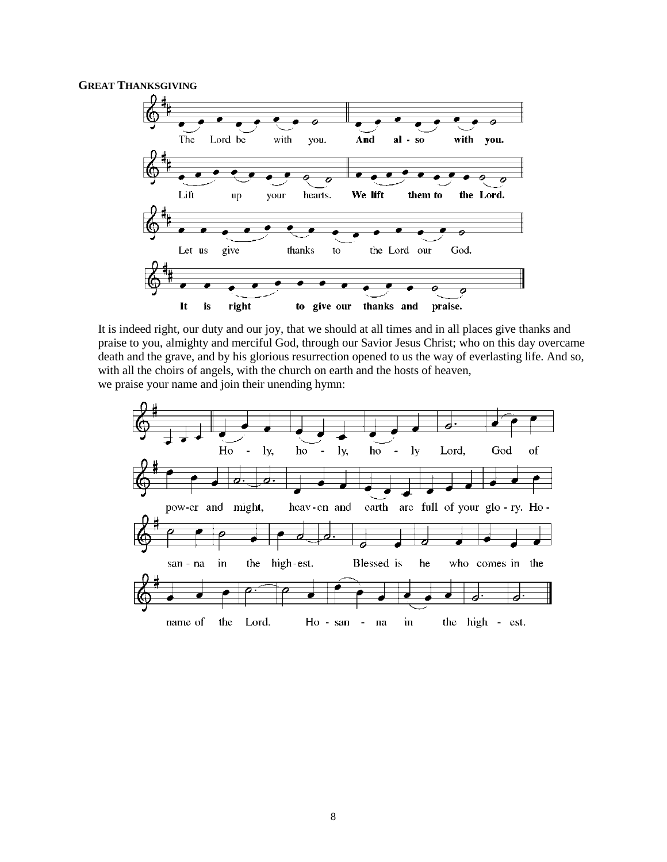#### **GREAT THANKSGIVING**



It is indeed right, our duty and our joy, that we should at all times and in all places give thanks and praise to you, almighty and merciful God, through our Savior Jesus Christ; who on this day overcame death and the grave, and by his glorious resurrection opened to us the way of everlasting life. And so, with all the choirs of angels, with the church on earth and the hosts of heaven, we praise your name and join their unending hymn:

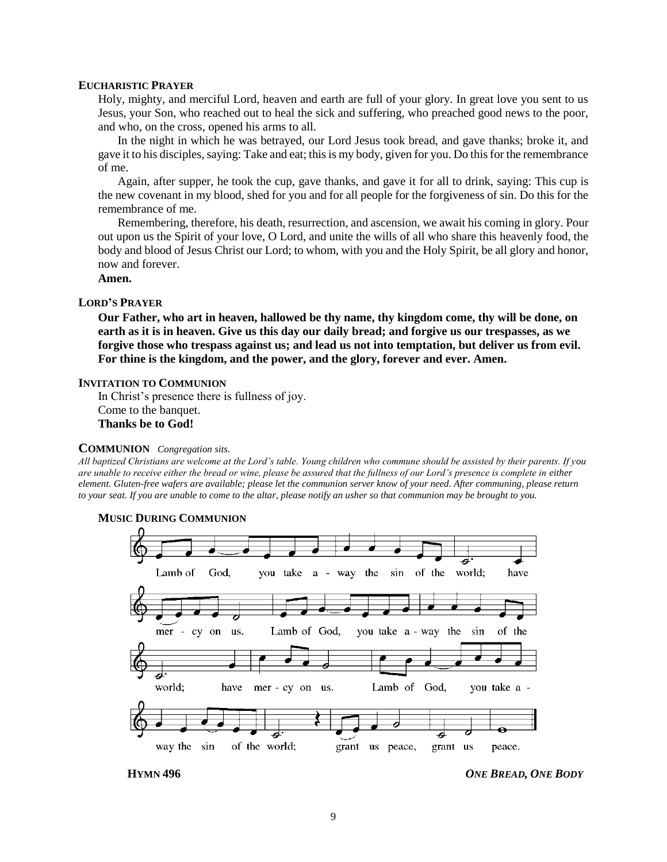#### **EUCHARISTIC PRAYER**

Holy, mighty, and merciful Lord, heaven and earth are full of your glory. In great love you sent to us Jesus, your Son, who reached out to heal the sick and suffering, who preached good news to the poor, and who, on the cross, opened his arms to all.

In the night in which he was betrayed, our Lord Jesus took bread, and gave thanks; broke it, and gave it to his disciples, saying: Take and eat; this is my body, given for you. Do this for the remembrance of me.

Again, after supper, he took the cup, gave thanks, and gave it for all to drink, saying: This cup is the new covenant in my blood, shed for you and for all people for the forgiveness of sin. Do this for the remembrance of me.

Remembering, therefore, his death, resurrection, and ascension, we await his coming in glory. Pour out upon us the Spirit of your love, O Lord, and unite the wills of all who share this heavenly food, the body and blood of Jesus Christ our Lord; to whom, with you and the Holy Spirit, be all glory and honor, now and forever.

#### **Amen.**

#### **LORD'S PRAYER**

**Our Father, who art in heaven, hallowed be thy name, thy kingdom come, thy will be done, on earth as it is in heaven. Give us this day our daily bread; and forgive us our trespasses, as we forgive those who trespass against us; and lead us not into temptation, but deliver us from evil. For thine is the kingdom, and the power, and the glory, forever and ever. Amen.**

#### **INVITATION TO COMMUNION**

In Christ's presence there is fullness of joy. Come to the banquet. **Thanks be to God!**

#### **COMMUNION** *Congregation sits.*

*All baptized Christians are welcome at the Lord's table. Young children who commune should be assisted by their parents. If you are unable to receive either the bread or wine, please be assured that the fullness of our Lord's presence is complete in either element. Gluten-free wafers are available; please let the communion server know of your need. After communing, please return to your seat. If you are unable to come to the altar, please notify an usher so that communion may be brought to you.*



#### **MUSIC DURING COMMUNION**

**HYMN 496** *ONE BREAD, ONE BODY*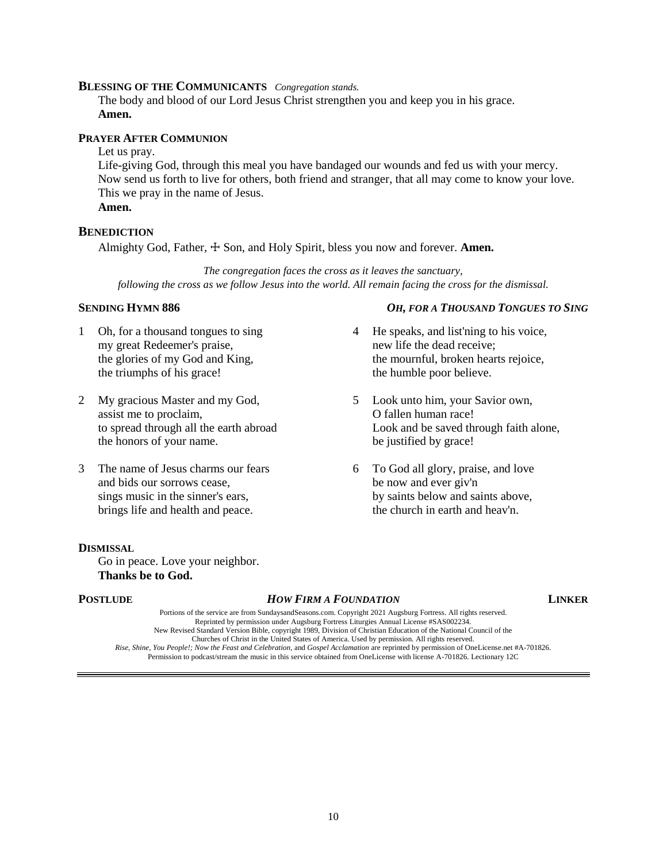#### **BLESSING OF THE COMMUNICANTS** *Congregation stands.*

The body and blood of our Lord Jesus Christ strengthen you and keep you in his grace. **Amen.**

#### **PRAYER AFTER COMMUNION**

#### Let us pray.

Life-giving God, through this meal you have bandaged our wounds and fed us with your mercy. Now send us forth to live for others, both friend and stranger, that all may come to know your love. This we pray in the name of Jesus. **Amen.**

#### **BENEDICTION**

Almighty God, Father, ☩ Son, and Holy Spirit, bless you now and forever. **Amen.**

*The congregation faces the cross as it leaves the sanctuary, following the cross as we follow Jesus into the world. All remain facing the cross for the dismissal.*

- 1 Oh, for a thousand tongues to sing my great Redeemer's praise, the glories of my God and King, the triumphs of his grace!
- 2 My gracious Master and my God, assist me to proclaim, to spread through all the earth abroad the honors of your name.
- 3 The name of Jesus charms our fears and bids our sorrows cease, sings music in the sinner's ears, brings life and health and peace.

#### **DISMISSAL**

Go in peace. Love your neighbor. **Thanks be to God.**

#### **POSTLUDE** *HOW FIRM A FOUNDATION* **LINKER**

Portions of the service are from SundaysandSeasons.com. Copyright 2021 Augsburg Fortress. All rights reserved. Reprinted by permission under Augsburg Fortress Liturgies Annual License #SAS002234. New Revised Standard Version Bible, copyright 1989, Division of Christian Education of the National Council of the Churches of Christ in the United States of America. Used by permission. All rights reserved. *Rise, Shine, You People!; Now the Feast and Celebration,* and *Gospel Acclamation* are reprinted by permission of OneLicense.net #A-701826. Permission to podcast/stream the music in this service obtained from OneLicense with license A-701826. Lectionary 12C

#### **SENDING HYMN 886** *OH, FOR A THOUSAND TONGUES TO SING*

- 4 He speaks, and list'ning to his voice, new life the dead receive; the mournful, broken hearts rejoice, the humble poor believe.
- 5 Look unto him, your Savior own, O fallen human race! Look and be saved through faith alone, be justified by grace!
- 6 To God all glory, praise, and love be now and ever giv'n by saints below and saints above, the church in earth and heav'n.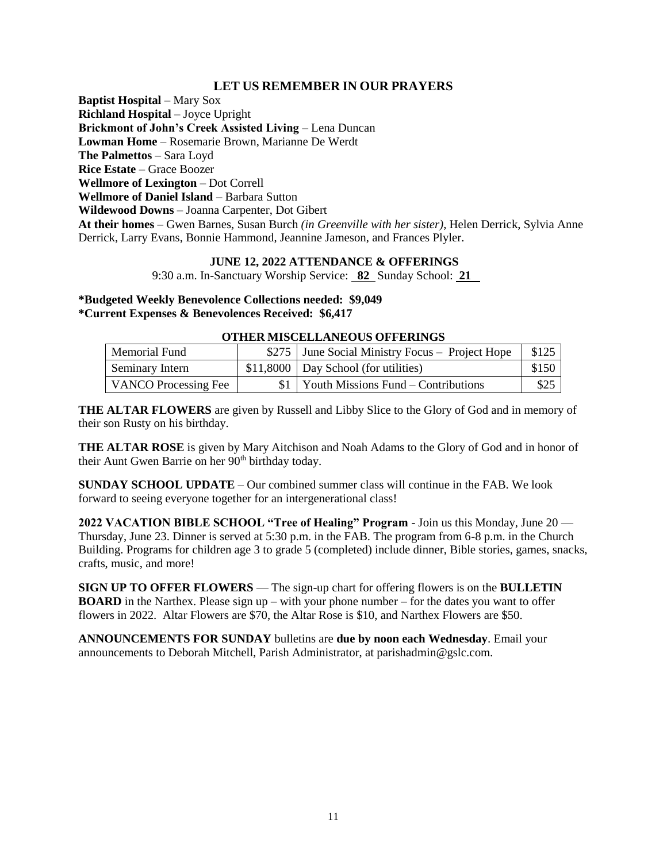### **LET US REMEMBER IN OUR PRAYERS**

**Baptist Hospital** – Mary Sox **Richland Hospital** – Joyce Upright **Brickmont of John's Creek Assisted Living** – Lena Duncan **Lowman Home** – Rosemarie Brown, Marianne De Werdt **The Palmettos** – Sara Loyd **Rice Estate** – Grace Boozer **Wellmore of Lexington** – Dot Correll **Wellmore of Daniel Island** – Barbara Sutton **Wildewood Downs** – Joanna Carpenter, Dot Gibert **At their homes** – Gwen Barnes, Susan Burch *(in Greenville with her sister)*, Helen Derrick, Sylvia Anne Derrick, Larry Evans, Bonnie Hammond, Jeannine Jameson, and Frances Plyler.

#### **JUNE 12, 2022 ATTENDANCE & OFFERINGS**

9:30 a.m. In-Sanctuary Worship Service: **82** Sunday School: **21** 

**\*Budgeted Weekly Benevolence Collections needed: \$9,049 \*Current Expenses & Benevolences Received: \$6,417**

#### **OTHER MISCELLANEOUS OFFERINGS**

| Memorial Fund               | \$275 June Social Ministry Focus – Project Hope | \$125 |
|-----------------------------|-------------------------------------------------|-------|
| Seminary Intern             | \$11,8000   Day School (for utilities)          | \$150 |
| <b>VANCO Processing Fee</b> | $$1 \mid$ Youth Missions Fund – Contributions   | \$25  |

**THE ALTAR FLOWERS** are given by Russell and Libby Slice to the Glory of God and in memory of their son Rusty on his birthday.

**THE ALTAR ROSE** is given by Mary Aitchison and Noah Adams to the Glory of God and in honor of their Aunt Gwen Barrie on her 90<sup>th</sup> birthday today.

**SUNDAY SCHOOL UPDATE** – Our combined summer class will continue in the FAB. We look forward to seeing everyone together for an intergenerational class!

**2022 VACATION BIBLE SCHOOL "Tree of Healing" Program** - Join us this Monday, June 20 — Thursday, June 23. Dinner is served at 5:30 p.m. in the FAB. The program from 6-8 p.m. in the Church Building. Programs for children age 3 to grade 5 (completed) include dinner, Bible stories, games, snacks, crafts, music, and more!

**SIGN UP TO OFFER FLOWERS** — The sign-up chart for offering flowers is on the **BULLETIN BOARD** in the Narthex. Please sign up – with your phone number – for the dates you want to offer flowers in 2022. Altar Flowers are \$70, the Altar Rose is \$10, and Narthex Flowers are \$50.

**ANNOUNCEMENTS FOR SUNDAY** bulletins are **due by noon each Wednesday**. Email your announcements to Deborah Mitchell, Parish Administrator, at parishadmin@gslc.com.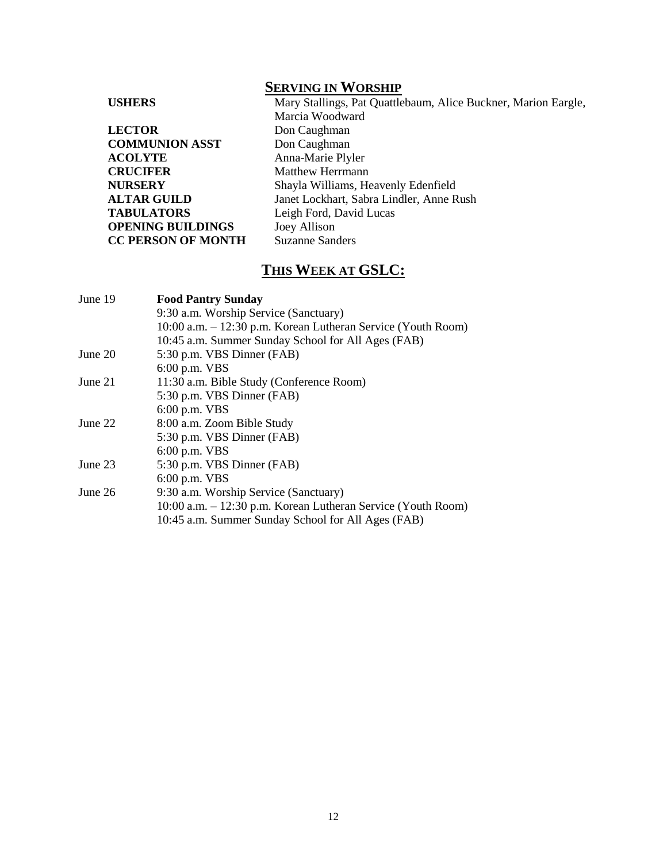## **SERVING IN WORSHIP**

| <b>USHERS</b>             | Mary Stallings, Pat Quattlebaum, Alice Buckner, Marion Eargle, |
|---------------------------|----------------------------------------------------------------|
|                           | Marcia Woodward                                                |
| <b>LECTOR</b>             | Don Caughman                                                   |
| <b>COMMUNION ASST</b>     | Don Caughman                                                   |
| <b>ACOLYTE</b>            | Anna-Marie Plyler                                              |
| <b>CRUCIFER</b>           | <b>Matthew Herrmann</b>                                        |
| <b>NURSERY</b>            | Shayla Williams, Heavenly Edenfield                            |
| <b>ALTAR GUILD</b>        | Janet Lockhart, Sabra Lindler, Anne Rush                       |
| <b>TABULATORS</b>         | Leigh Ford, David Lucas                                        |
| <b>OPENING BUILDINGS</b>  | Joey Allison                                                   |
| <b>CC PERSON OF MONTH</b> | <b>Suzanne Sanders</b>                                         |

## **THIS WEEK AT GSLC:**

| June 19   | <b>Food Pantry Sunday</b>                                    |
|-----------|--------------------------------------------------------------|
|           | 9:30 a.m. Worship Service (Sanctuary)                        |
|           | 10:00 a.m. – 12:30 p.m. Korean Lutheran Service (Youth Room) |
|           | 10:45 a.m. Summer Sunday School for All Ages (FAB)           |
| June 20   | 5:30 p.m. VBS Dinner (FAB)                                   |
|           | 6:00 p.m. VBS                                                |
| June $21$ | 11:30 a.m. Bible Study (Conference Room)                     |
|           | 5:30 p.m. VBS Dinner (FAB)                                   |
|           | 6:00 p.m. VBS                                                |
| June $22$ | 8:00 a.m. Zoom Bible Study                                   |
|           | 5:30 p.m. VBS Dinner (FAB)                                   |
|           | $6:00$ p.m. VBS                                              |
| June 23   | 5:30 p.m. VBS Dinner (FAB)                                   |
|           | $6:00$ p.m. VBS                                              |
| June $26$ | 9:30 a.m. Worship Service (Sanctuary)                        |
|           | 10:00 a.m. – 12:30 p.m. Korean Lutheran Service (Youth Room) |
|           | 10:45 a.m. Summer Sunday School for All Ages (FAB)           |
|           |                                                              |